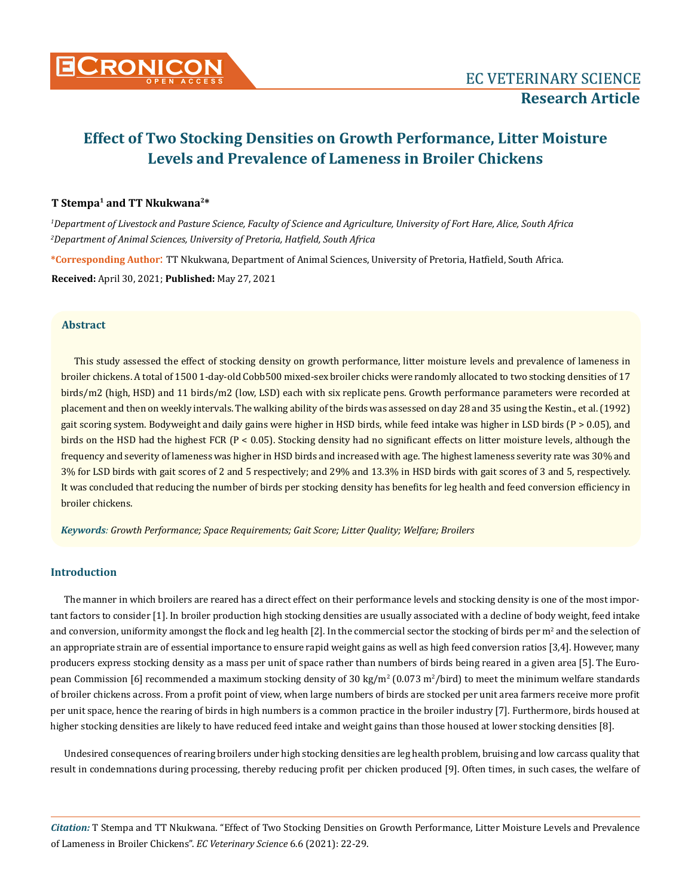

# **Effect of Two Stocking Densities on Growth Performance, Litter Moisture Levels and Prevalence of Lameness in Broiler Chickens**

## **T Stempa1 and TT Nkukwana2\***

*1 Department of Livestock and Pasture Science, Faculty of Science and Agriculture, University of Fort Hare, Alice, South Africa 2 Department of Animal Sciences, University of Pretoria, Hatfield, South Africa*

**\*Corresponding Author**: TT Nkukwana, Department of Animal Sciences, University of Pretoria, Hatfield, South Africa. **Received:** April 30, 2021; **Published:** May 27, 2021

### **Abstract**

This study assessed the effect of stocking density on growth performance, litter moisture levels and prevalence of lameness in broiler chickens. A total of 1500 1-day-old Cobb500 mixed-sex broiler chicks were randomly allocated to two stocking densities of 17 birds/m2 (high, HSD) and 11 birds/m2 (low, LSD) each with six replicate pens. Growth performance parameters were recorded at placement and then on weekly intervals. The walking ability of the birds was assessed on day 28 and 35 using the Kestin., et al. (1992) gait scoring system. Bodyweight and daily gains were higher in HSD birds, while feed intake was higher in LSD birds (P > 0.05), and birds on the HSD had the highest FCR (P < 0.05). Stocking density had no significant effects on litter moisture levels, although the frequency and severity of lameness was higher in HSD birds and increased with age. The highest lameness severity rate was 30% and 3% for LSD birds with gait scores of 2 and 5 respectively; and 29% and 13.3% in HSD birds with gait scores of 3 and 5, respectively. It was concluded that reducing the number of birds per stocking density has benefits for leg health and feed conversion efficiency in broiler chickens.

*Keywords: Growth Performance; Space Requirements; Gait Score; Litter Quality; Welfare; Broilers*

# **Introduction**

The manner in which broilers are reared has a direct effect on their performance levels and stocking density is one of the most important factors to consider [1]. In broiler production high stocking densities are usually associated with a decline of body weight, feed intake and conversion, uniformity amongst the flock and leg health [2]. In the commercial sector the stocking of birds per m<sup>2</sup> and the selection of an appropriate strain are of essential importance to ensure rapid weight gains as well as high feed conversion ratios [3,4]. However, many producers express stocking density as a mass per unit of space rather than numbers of birds being reared in a given area [5]. The European Commission [6] recommended a maximum stocking density of 30 kg/m<sup>2</sup> (0.073 m<sup>2</sup>/bird) to meet the minimum welfare standards of broiler chickens across. From a profit point of view, when large numbers of birds are stocked per unit area farmers receive more profit per unit space, hence the rearing of birds in high numbers is a common practice in the broiler industry [7]. Furthermore, birds housed at higher stocking densities are likely to have reduced feed intake and weight gains than those housed at lower stocking densities [8].

Undesired consequences of rearing broilers under high stocking densities are leg health problem, bruising and low carcass quality that result in condemnations during processing, thereby reducing profit per chicken produced [9]. Often times, in such cases, the welfare of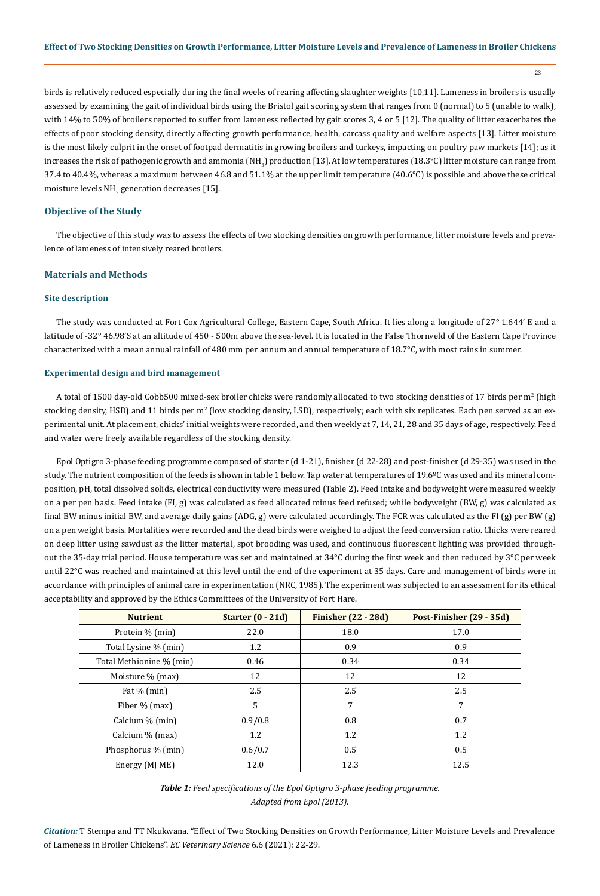$23$ 

birds is relatively reduced especially during the final weeks of rearing affecting slaughter weights [10,11]. Lameness in broilers is usually assessed by examining the gait of individual birds using the Bristol gait scoring system that ranges from 0 (normal) to 5 (unable to walk), with 14% to 50% of broilers reported to suffer from lameness reflected by gait scores 3, 4 or 5 [12]. The quality of litter exacerbates the effects of poor stocking density, directly affecting growth performance, health, carcass quality and welfare aspects [13]. Litter moisture is the most likely culprit in the onset of footpad dermatitis in growing broilers and turkeys, impacting on poultry paw markets [14]; as it increases the risk of pathogenic growth and ammonia (NH<sub>3</sub>) production [13]. At low temperatures (18.3°C) litter moisture can range from 37.4 to 40.4%, whereas a maximum between 46.8 and 51.1% at the upper limit temperature (40.6°C) is possible and above these critical moisture levels  $NH_{3}$  generation decreases [15].

## **Objective of the Study**

The objective of this study was to assess the effects of two stocking densities on growth performance, litter moisture levels and prevalence of lameness of intensively reared broilers.

# **Materials and Methods**

## **Site description**

The study was conducted at Fort Cox Agricultural College, Eastern Cape, South Africa. It lies along a longitude of 27° 1.644' E and a latitude of -32° 46.98'S at an altitude of 450 - 500m above the sea-level. It is located in the False Thornveld of the Eastern Cape Province characterized with a mean annual rainfall of 480 mm per annum and annual temperature of 18.7°C, with most rains in summer.

## **Experimental design and bird management**

A total of 1500 day-old Cobb500 mixed-sex broiler chicks were randomly allocated to two stocking densities of 17 birds per m<sup>2</sup> (high stocking density, HSD) and 11 birds per m<sup>2</sup> (low stocking density, LSD), respectively; each with six replicates. Each pen served as an experimental unit. At placement, chicks' initial weights were recorded, and then weekly at 7, 14, 21, 28 and 35 days of age, respectively. Feed and water were freely available regardless of the stocking density.

Epol Optigro 3-phase feeding programme composed of starter (d 1-21), finisher (d 22-28) and post-finisher (d 29-35) was used in the study. The nutrient composition of the feeds is shown in table 1 below. Tap water at temperatures of 19.6ºC was used and its mineral composition, pH, total dissolved solids, electrical conductivity were measured (Table 2). Feed intake and bodyweight were measured weekly on a per pen basis. Feed intake (FI, g) was calculated as feed allocated minus feed refused; while bodyweight (BW, g) was calculated as final BW minus initial BW, and average daily gains  $(ADG, g)$  were calculated accordingly. The FCR was calculated as the FI  $(g)$  per BW  $(g)$ on a pen weight basis. Mortalities were recorded and the dead birds were weighed to adjust the feed conversion ratio. Chicks were reared on deep litter using sawdust as the litter material, spot brooding was used, and continuous fluorescent lighting was provided throughout the 35-day trial period. House temperature was set and maintained at 34°C during the first week and then reduced by 3°C per week until 22°C was reached and maintained at this level until the end of the experiment at 35 days. Care and management of birds were in accordance with principles of animal care in experimentation (NRC, 1985). The experiment was subjected to an assessment for its ethical acceptability and approved by the Ethics Committees of the University of Fort Hare.

| <b>Nutrient</b>          | Starter $(0 - 21d)$ | <b>Finisher (22 - 28d)</b> | Post-Finisher (29 - 35d) |  |
|--------------------------|---------------------|----------------------------|--------------------------|--|
| Protein % (min)          | 22.0                | 18.0                       | 17.0                     |  |
| Total Lysine % (min)     | 1.2                 | 0.9                        | 0.9                      |  |
| Total Methionine % (min) | 0.46                | 0.34                       | 0.34                     |  |
| Moisture % (max)         | 12                  | 12                         | 12                       |  |
| Fat $%$ (min)            | 2.5                 | 2.5                        | 2.5                      |  |
| Fiber % (max)            | 5                   | 7                          | 7                        |  |
| Calcium % (min)          | 0.9/0.8             | 0.8                        | 0.7                      |  |
| Calcium % (max)          | 1.2                 | 1.2                        | 1.2                      |  |
| Phosphorus % (min)       | 0.6/0.7             | 0.5                        | 0.5                      |  |
| Energy (MJ ME)           | 12.0                | 12.3                       | 12.5                     |  |

*Table 1: Feed specifications of the Epol Optigro 3-phase feeding programme. Adapted from Epol (2013).*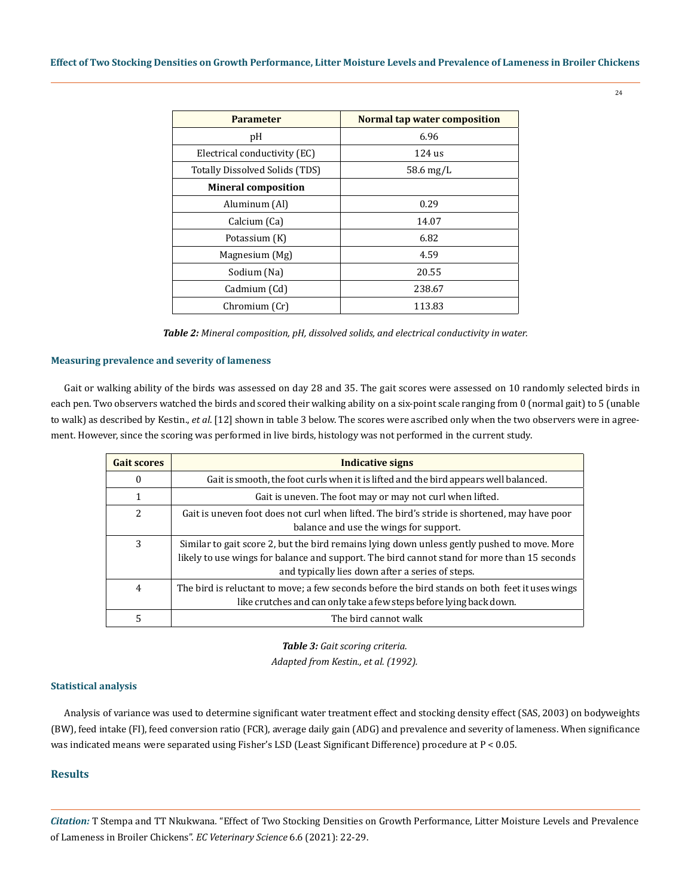| <b>Parameter</b>               | Normal tap water composition |  |  |
|--------------------------------|------------------------------|--|--|
| pH                             | 6.96                         |  |  |
| Electrical conductivity (EC)   | 124 us                       |  |  |
| Totally Dissolved Solids (TDS) | $58.6 \,\mathrm{mg/L}$       |  |  |
| <b>Mineral composition</b>     |                              |  |  |
| Aluminum (Al)                  | 0.29                         |  |  |
| Calcium (Ca)                   | 14.07                        |  |  |
| Potassium (K)                  | 6.82                         |  |  |
| Magnesium (Mg)                 | 4.59                         |  |  |
| Sodium (Na)                    | 20.55                        |  |  |
| Cadmium (Cd)                   | 238.67                       |  |  |
| Chromium (Cr)                  | 113.83                       |  |  |

*Table 2: Mineral composition, pH, dissolved solids, and electrical conductivity in water.*

### **Measuring prevalence and severity of lameness**

Gait or walking ability of the birds was assessed on day 28 and 35. The gait scores were assessed on 10 randomly selected birds in each pen. Two observers watched the birds and scored their walking ability on a six-point scale ranging from 0 (normal gait) to 5 (unable to walk) as described by Kestin., *et al*. [12] shown in table 3 below. The scores were ascribed only when the two observers were in agreement. However, since the scoring was performed in live birds, histology was not performed in the current study.

| <b>Gait scores</b>       | <b>Indicative signs</b>                                                                                                                                                                                                                        |
|--------------------------|------------------------------------------------------------------------------------------------------------------------------------------------------------------------------------------------------------------------------------------------|
| 0                        | Gait is smooth, the foot curls when it is lifted and the bird appears well balanced.                                                                                                                                                           |
| 1                        | Gait is uneven. The foot may or may not curl when lifted.                                                                                                                                                                                      |
| $\overline{\mathcal{L}}$ | Gait is uneven foot does not curl when lifted. The bird's stride is shortened, may have poor<br>balance and use the wings for support.                                                                                                         |
| 3                        | Similar to gait score 2, but the bird remains lying down unless gently pushed to move. More<br>likely to use wings for balance and support. The bird cannot stand for more than 15 seconds<br>and typically lies down after a series of steps. |
| $\overline{4}$           | The bird is reluctant to move; a few seconds before the bird stands on both feet it uses wings<br>like crutches and can only take a few steps before lying back down.                                                                          |
| 5                        | The bird cannot walk                                                                                                                                                                                                                           |

*Table 3: Gait scoring criteria. Adapted from Kestin., et al. (1992).*

#### **Statistical analysis**

Analysis of variance was used to determine significant water treatment effect and stocking density effect (SAS, 2003) on bodyweights (BW), feed intake (FI), feed conversion ratio (FCR), average daily gain (ADG) and prevalence and severity of lameness. When significance was indicated means were separated using Fisher's LSD (Least Significant Difference) procedure at P < 0.05.

# **Results**

*Citation:* T Stempa and TT Nkukwana*.* "Effect of Two Stocking Densities on Growth Performance, Litter Moisture Levels and Prevalence of Lameness in Broiler Chickens". *EC Veterinary Science* 6.6 (2021): 22-29.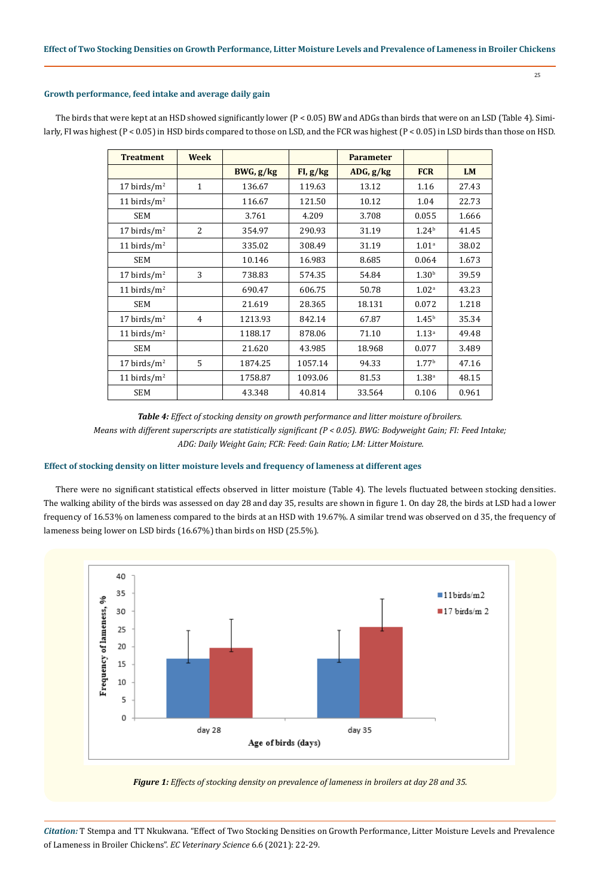# **Growth performance, feed intake and average daily gain**

| <b>Treatment</b> | <b>Week</b>    |           |          | <b>Parameter</b> |                   |           |
|------------------|----------------|-----------|----------|------------------|-------------------|-----------|
|                  |                | BWG, g/kg | FI, g/kg | ADG, g/kg        | <b>FCR</b>        | <b>LM</b> |
| 17 birds/ $m2$   | $\mathbf{1}$   | 136.67    | 119.63   | 13.12            | 1.16              | 27.43     |
| 11 birds/ $m2$   |                | 116.67    | 121.50   | 10.12            | 1.04              | 22.73     |
| <b>SEM</b>       |                | 3.761     | 4.209    | 3.708            | 0.055             | 1.666     |
| 17 birds/ $m2$   | $\overline{a}$ | 354.97    | 290.93   | 31.19            | 1.24 <sup>b</sup> | 41.45     |
| 11 birds/ $m2$   |                | 335.02    | 308.49   | 31.19            | 1.01 <sup>a</sup> | 38.02     |
| <b>SEM</b>       |                | 10.146    | 16.983   | 8.685            | 0.064             | 1.673     |
| 17 birds/ $m2$   | 3              | 738.83    | 574.35   | 54.84            | 1.30 <sup>b</sup> | 39.59     |
| 11 birds/ $m2$   |                | 690.47    | 606.75   | 50.78            | 1.02 <sup>a</sup> | 43.23     |
| <b>SEM</b>       |                | 21.619    | 28.365   | 18.131           | 0.072             | 1.218     |
| 17 birds/ $m2$   | 4              | 1213.93   | 842.14   | 67.87            | 1.45 <sup>b</sup> | 35.34     |
| 11 birds/ $m2$   |                | 1188.17   | 878.06   | 71.10            | 1.13 <sup>a</sup> | 49.48     |
| <b>SEM</b>       |                | 21.620    | 43.985   | 18.968           | 0.077             | 3.489     |
| 17 birds/ $m2$   | 5              | 1874.25   | 1057.14  | 94.33            | 1.77 <sup>b</sup> | 47.16     |
| 11 birds/ $m2$   |                | 1758.87   | 1093.06  | 81.53            | 1.38 <sup>a</sup> | 48.15     |
| <b>SEM</b>       |                | 43.348    | 40.814   | 33.564           | 0.106             | 0.961     |

The birds that were kept at an HSD showed significantly lower (P < 0.05) BW and ADGs than birds that were on an LSD (Table 4). Similarly, FI was highest (P < 0.05) in HSD birds compared to those on LSD, and the FCR was highest (P < 0.05) in LSD birds than those on HSD.

*Table 4: Effect of stocking density on growth performance and litter moisture of broilers. Means with different superscripts are statistically significant (P < 0.05). BWG: Bodyweight Gain; FI: Feed Intake; ADG: Daily Weight Gain; FCR: Feed: Gain Ratio; LM: Litter Moisture.*

#### **Effect of stocking density on litter moisture levels and frequency of lameness at different ages**

There were no significant statistical effects observed in litter moisture (Table 4). The levels fluctuated between stocking densities. The walking ability of the birds was assessed on day 28 and day 35, results are shown in figure 1. On day 28, the birds at LSD had a lower frequency of 16.53% on lameness compared to the birds at an HSD with 19.67%. A similar trend was observed on d 35, the frequency of lameness being lower on LSD birds (16.67%) than birds on HSD (25.5%).



*Figure 1: Effects of stocking density on prevalence of lameness in broilers at day 28 and 35.*

*Citation:* T Stempa and TT Nkukwana*.* "Effect of Two Stocking Densities on Growth Performance, Litter Moisture Levels and Prevalence of Lameness in Broiler Chickens". *EC Veterinary Science* 6.6 (2021): 22-29.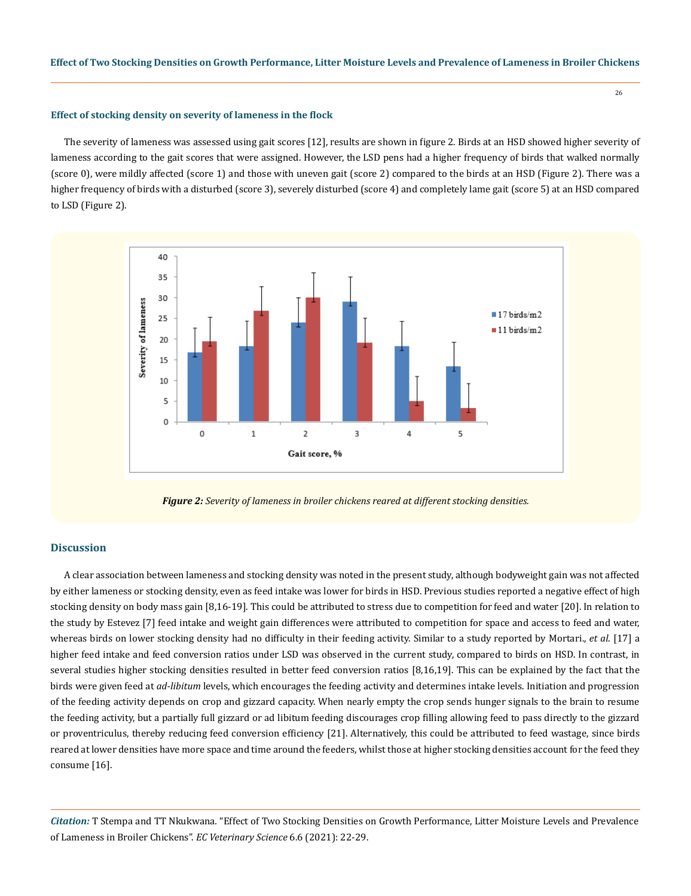### **Effect of stocking density on severity of lameness in the flock**

The severity of lameness was assessed using gait scores [12], results are shown in figure 2. Birds at an HSD showed higher severity of lameness according to the gait scores that were assigned. However, the LSD pens had a higher frequency of birds that walked normally (score 0), were mildly affected (score 1) and those with uneven gait (score 2) compared to the birds at an HSD (Figure 2). There was a higher frequency of birds with a disturbed (score 3), severely disturbed (score 4) and completely lame gait (score 5) at an HSD compared to LSD (Figure 2).



*Figure 2: Severity of lameness in broiler chickens reared at different stocking densities.*

# **Discussion**

A clear association between lameness and stocking density was noted in the present study, although bodyweight gain was not affected by either lameness or stocking density, even as feed intake was lower for birds in HSD. Previous studies reported a negative effect of high stocking density on body mass gain [8,16-19]. This could be attributed to stress due to competition for feed and water [20]. In relation to the study by Estevez [7] feed intake and weight gain differences were attributed to competition for space and access to feed and water, whereas birds on lower stocking density had no difficulty in their feeding activity. Similar to a study reported by Mortari., *et al*. [17] a higher feed intake and feed conversion ratios under LSD was observed in the current study, compared to birds on HSD. In contrast, in several studies higher stocking densities resulted in better feed conversion ratios [8,16,19]. This can be explained by the fact that the birds were given feed at *ad-libitum* levels, which encourages the feeding activity and determines intake levels. Initiation and progression of the feeding activity depends on crop and gizzard capacity. When nearly empty the crop sends hunger signals to the brain to resume the feeding activity, but a partially full gizzard or ad libitum feeding discourages crop filling allowing feed to pass directly to the gizzard or proventriculus, thereby reducing feed conversion efficiency [21]. Alternatively, this could be attributed to feed wastage, since birds reared at lower densities have more space and time around the feeders, whilst those at higher stocking densities account for the feed they consume [16].

*Citation:* T Stempa and TT Nkukwana*.* "Effect of Two Stocking Densities on Growth Performance, Litter Moisture Levels and Prevalence of Lameness in Broiler Chickens". *EC Veterinary Science* 6.6 (2021): 22-29.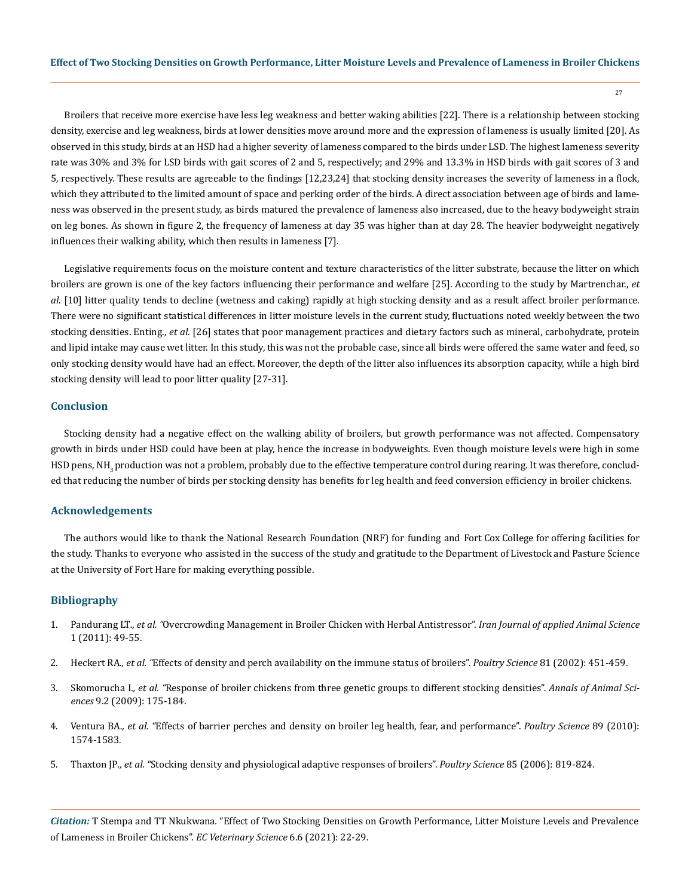27

Broilers that receive more exercise have less leg weakness and better waking abilities [22]. There is a relationship between stocking density, exercise and leg weakness, birds at lower densities move around more and the expression of lameness is usually limited [20]. As observed in this study, birds at an HSD had a higher severity of lameness compared to the birds under LSD. The highest lameness severity rate was 30% and 3% for LSD birds with gait scores of 2 and 5, respectively; and 29% and 13.3% in HSD birds with gait scores of 3 and 5, respectively. These results are agreeable to the findings [12,23,24] that stocking density increases the severity of lameness in a flock, which they attributed to the limited amount of space and perking order of the birds. A direct association between age of birds and lameness was observed in the present study, as birds matured the prevalence of lameness also increased, due to the heavy bodyweight strain on leg bones. As shown in figure 2, the frequency of lameness at day 35 was higher than at day 28. The heavier bodyweight negatively influences their walking ability, which then results in lameness [7].

Legislative requirements focus on the moisture content and texture characteristics of the litter substrate, because the litter on which broilers are grown is one of the key factors influencing their performance and welfare [25]. According to the study by Martrenchar., *et al*. [10] litter quality tends to decline (wetness and caking) rapidly at high stocking density and as a result affect broiler performance. There were no significant statistical differences in litter moisture levels in the current study, fluctuations noted weekly between the two stocking densities. Enting., *et al*. [26] states that poor management practices and dietary factors such as mineral, carbohydrate, protein and lipid intake may cause wet litter. In this study, this was not the probable case, since all birds were offered the same water and feed, so only stocking density would have had an effect. Moreover, the depth of the litter also influences its absorption capacity, while a high bird stocking density will lead to poor litter quality [27-31].

#### **Conclusion**

Stocking density had a negative effect on the walking ability of broilers, but growth performance was not affected. Compensatory growth in birds under HSD could have been at play, hence the increase in bodyweights. Even though moisture levels were high in some HSD pens, NH<sub>2</sub> production was not a problem, probably due to the effective temperature control during rearing. It was therefore, concluded that reducing the number of birds per stocking density has benefits for leg health and feed conversion efficiency in broiler chickens.

#### **Acknowledgements**

The authors would like to thank the National Research Foundation (NRF) for funding and Fort Cox College for offering facilities for the study. Thanks to everyone who assisted in the success of the study and gratitude to the Department of Livestock and Pasture Science at the University of Fort Hare for making everything possible.

#### **Bibliography**

- 1. Pandurang LT*., et al. "*[Overcrowding Management in Broiler Chicken with Herbal Antistressor".](https://www.researchgate.net/publication/326342011_Overcrowding_stress_management_in_broiler_chicken_with_antistressor) *Iran Journal of applied Animal Science* [1 \(2011\): 49-55.](https://www.researchgate.net/publication/326342011_Overcrowding_stress_management_in_broiler_chicken_with_antistressor)
- 2. Heckert RA*., et al. "*[Effects of density and perch availability on the immune status of broilers".](https://www.sciencedirect.com/science/article/pii/S0032579119436079) *Poultry Science* 81 (2002): 451-459.
- 3. Skomorucha I*., et al. "*[Response of broiler chickens from three genetic groups to different stocking densities".](https://www.researchgate.net/publication/285668020_Response_of_broiler_chickens_from_three_genetic_groups_to_different_stocking_densities) *Annals of Animal Sciences* [9.2 \(2009\): 175-184.](https://www.researchgate.net/publication/285668020_Response_of_broiler_chickens_from_three_genetic_groups_to_different_stocking_densities)
- 4. Ventura BA*., et al. "*[Effects of barrier perches and density on broiler leg health, fear, and performance".](https://www.sciencedirect.com/science/article/pii/S0032579119386353) *Poultry Science* 89 (2010): [1574-1583.](https://www.sciencedirect.com/science/article/pii/S0032579119386353)
- 5. Thaxton JP*., et al. "*[Stocking density and physiological adaptive responses of broilers".](https://pubmed.ncbi.nlm.nih.gov/16673757/) *Poultry Science* 85 (2006): 819-824.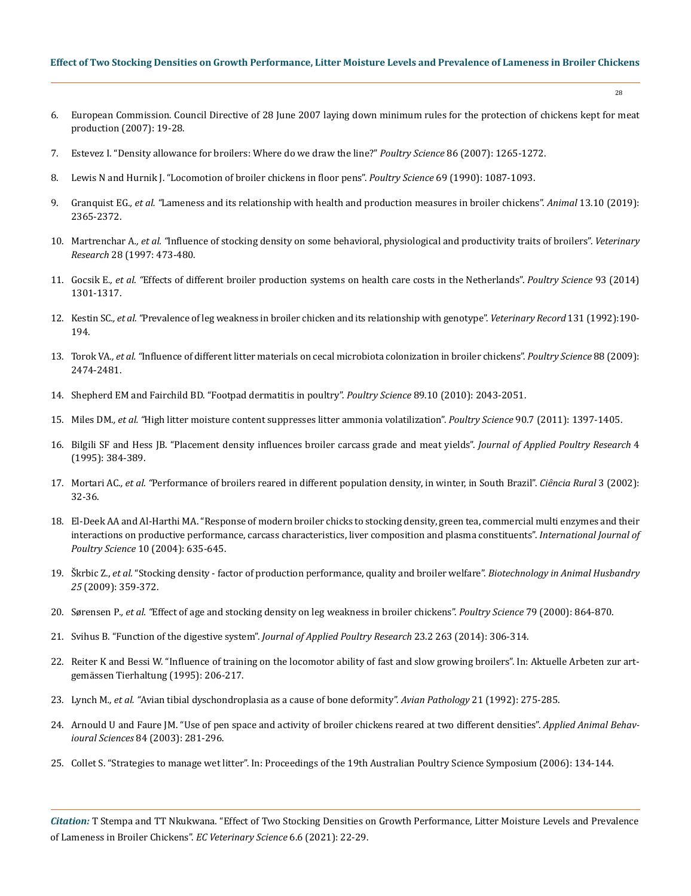## **Effect of Two Stocking Densities on Growth Performance, Litter Moisture Levels and Prevalence of Lameness in Broiler Chickens**

- 6. [European Commission. Council Directive of 28 June 2007 laying down minimum rules for the protection of chickens kept for meat](https://eur-lex.europa.eu/legal-content/EN/LSU/?uri=celex:32007L0043)  [production \(2007\): 19-28.](https://eur-lex.europa.eu/legal-content/EN/LSU/?uri=celex:32007L0043)
- 7. [Estevez I. "Density allowance for broilers: Where do we draw the line?"](https://pubmed.ncbi.nlm.nih.gov/17495104/) *Poultry Science* 86 (2007): 1265-1272.
- 8. [Lewis N and Hurnik J. "Locomotion of broiler chickens in floor pens".](https://www.sciencedirect.com/science/article/pii/S0032579119328299) *Poultry Science* 69 (1990): 1087-1093.
- 9. Granquist EG*., et al. "*[Lameness and its relationship with health and production measures in broiler chickens".](https://www.ncbi.nlm.nih.gov/pmc/articles/PMC6749567/) *Animal* 13.10 (2019): [2365-2372.](https://www.ncbi.nlm.nih.gov/pmc/articles/PMC6749567/)
- 10. Martrenchar A*., et al. "*[Influence of stocking density on some behavioral, physiological and productivity traits of broilers".](https://pubmed.ncbi.nlm.nih.gov/9342823/) *Veterinary Research* [28 \(1997: 473-480.](https://pubmed.ncbi.nlm.nih.gov/9342823/)
- 11. Gocsik E*., et al. "*[Effects of different broiler production systems on health care costs in the Netherlands".](https://pubmed.ncbi.nlm.nih.gov/24879680/) *Poultry Science* 93 (2014) [1301-1317.](https://pubmed.ncbi.nlm.nih.gov/24879680/)
- 12. Kestin SC*., et al. "*[Prevalence of leg weakness in broiler chicken and its relationship with genotype".](https://pubmed.ncbi.nlm.nih.gov/1441174/) *Veterinary Record* 131 (1992):190- [194.](https://pubmed.ncbi.nlm.nih.gov/1441174/)
- 13. Torok VA*., et al. "*[Influence of different litter materials on cecal microbiota colonization in broiler chickens".](https://www.researchgate.net/publication/38080661_Influence_of_different_litter_materials_on_cecal_microbiota_colonization_in_broiler_chickens) *Poultry Science* 88 (2009): [2474-2481.](https://www.researchgate.net/publication/38080661_Influence_of_different_litter_materials_on_cecal_microbiota_colonization_in_broiler_chickens)
- 14. [Shepherd EM and Fairchild BD. "Footpad dermatitis in poultry".](https://www.sciencedirect.com/science/article/pii/S0032579119390169) *Poultry Science* 89.10 (2010): 2043-2051.
- 15. Miles DM*., et al. "*[High litter moisture content suppresses litter ammonia volatilization".](https://www.sciencedirect.com/science/article/pii/S0032579119420282) *Poultry Science* 90.7 (2011): 1397-1405.
- 16. [Bilgili SF and Hess JB. "Placement density influences broiler carcass grade and meat yields".](https://pdf.sciencedirectassets.com/776860/1-s2.0-S1056617119X61073/1-s2.0-S1056617119321579/main.pdf?X-Amz-Security-Token=IQoJb3JpZ2luX2VjEFgaCXVzLWVhc3QtMSJGMEQCIGzst7ZbxfXCAnv8VCkhuVA4mTPve89mhnOGSF%2F4bvZNAiBunXRi4K%2F2vT1oqkb%2BqSzHvexbSTiUhvpgDYmwEFXtrCq9Awjx%2F%2F%2F%2F%2F%2F%2F%2F%2F%2F8BEAMaDDA1OTAwMzU0Njg2NSIMB3N2mWy3vrIgWYvhKpEDOpD32XLfsVOlHY82lvfcyCq1cIdgKsMRHpEDKRELEwhthHLAu8Wzw08Hbs%2BxPce0Gw15DCYYTeDKvjUkPHCKddy16Qsa9zeTGa6hGYdeeP8uFsP0CML%2BhCHGUldvHAmBmGm%2B9lvIjweumeDvILFT2Ek0VKkSfVS0aY%2BCNjSYQasYVB60eQtEebIxeiJtShtCeeCwtG7FI30%2BPQwiZ7Hf5vx%2FQEpI2LtMkeSib0CxYzK06ZZ9CkLZ2a7WgiJw%2FXdRHkiwTKBT%2BVQqCbHUi2iV%2F6PYTp8UiF4pbYW3PNiv2CinuNGxfMwSYWVGi9TnXFRP%2FgJp19akPym2EcRbUzwtrBSC7wk5dK7V9a0bHTyO2Vz%2BYMdt0eJbVy4EOzHgukhmhOJNnOivmugb%2BxZ0W6qSdDqjrc%2BCB1Nt51MLpPRfaIx1PBanDnb9hsRBZJDnSKBMyr18KPjC43Jw66W73g2HAUv485kyB95QPR1QdQ%2Bd9RDJ%2FdlKu3wUqApOYSk5VJJa%2FLb8SsG0oLBit1zkcKNdIQkwlpevhQY67AEByEXoYuaa4XKJ5FJrJOoJOsPTVw%2BiVDgtkCr6v4S9Hr7SFc7lvLpB7Iba7fmRcoY3QZ6ok4S3Yr%2BKQovS0dFT3WaSnKoA4QKZJlnkJLPST7VMMhq%2FowsNqQIPBQD%2B76WUVs%2Bg%2FA%2F5gQqmw01GLSTdaiKrFHv4Y5Mf7Q60UV27LbjX%2FUZFXu52xzEP463kv6Yl%2BX%2Fg0dlEhI9vpGq3tN8HY2T9Uwbb%2Bea%2FirIUpMjFTp0fsKYpl5veeLeVN6f44bt1B3DZE%2FdsMjzc3TjRCpAe2zmwta4PFFCbnwD1cNDj8J7e6jPuS%2F2c251dqw%3D%3D&X-Amz-Algorithm=AWS4-HMAC-SHA256&X-Amz-Date=20210524T170552Z&X-Amz-SignedHeaders=host&X-Amz-Expires=300&X-Amz-Credential=ASIAQ3PHCVTY3Z4KBR7A%2F20210524%2Fus-east-1%2Fs3%2Faws4_request&X-Amz-Signature=bb4862243e577f310c9559087d0dcad761cca5b55f5466f5b5d73a335fa51a29&hash=508e5384b7be6ed005e8c67ac978d82bea36df161bf7f381b298cc795bc2fdad&host=68042c943591013ac2b2430a89b270f6af2c76d8dfd086a07176afe7c76c2c61&pii=S1056617119321579&tid=spdf-a900bfba-a513-4fd2-835c-89b494e70cac&sid=52b2b9cc3a6437446709a302e6ec342e82ddgxrqb&type=client) *Journal of Applied Poultry Research* 4 [\(1995\): 384-389.](https://pdf.sciencedirectassets.com/776860/1-s2.0-S1056617119X61073/1-s2.0-S1056617119321579/main.pdf?X-Amz-Security-Token=IQoJb3JpZ2luX2VjEFgaCXVzLWVhc3QtMSJGMEQCIGzst7ZbxfXCAnv8VCkhuVA4mTPve89mhnOGSF%2F4bvZNAiBunXRi4K%2F2vT1oqkb%2BqSzHvexbSTiUhvpgDYmwEFXtrCq9Awjx%2F%2F%2F%2F%2F%2F%2F%2F%2F%2F8BEAMaDDA1OTAwMzU0Njg2NSIMB3N2mWy3vrIgWYvhKpEDOpD32XLfsVOlHY82lvfcyCq1cIdgKsMRHpEDKRELEwhthHLAu8Wzw08Hbs%2BxPce0Gw15DCYYTeDKvjUkPHCKddy16Qsa9zeTGa6hGYdeeP8uFsP0CML%2BhCHGUldvHAmBmGm%2B9lvIjweumeDvILFT2Ek0VKkSfVS0aY%2BCNjSYQasYVB60eQtEebIxeiJtShtCeeCwtG7FI30%2BPQwiZ7Hf5vx%2FQEpI2LtMkeSib0CxYzK06ZZ9CkLZ2a7WgiJw%2FXdRHkiwTKBT%2BVQqCbHUi2iV%2F6PYTp8UiF4pbYW3PNiv2CinuNGxfMwSYWVGi9TnXFRP%2FgJp19akPym2EcRbUzwtrBSC7wk5dK7V9a0bHTyO2Vz%2BYMdt0eJbVy4EOzHgukhmhOJNnOivmugb%2BxZ0W6qSdDqjrc%2BCB1Nt51MLpPRfaIx1PBanDnb9hsRBZJDnSKBMyr18KPjC43Jw66W73g2HAUv485kyB95QPR1QdQ%2Bd9RDJ%2FdlKu3wUqApOYSk5VJJa%2FLb8SsG0oLBit1zkcKNdIQkwlpevhQY67AEByEXoYuaa4XKJ5FJrJOoJOsPTVw%2BiVDgtkCr6v4S9Hr7SFc7lvLpB7Iba7fmRcoY3QZ6ok4S3Yr%2BKQovS0dFT3WaSnKoA4QKZJlnkJLPST7VMMhq%2FowsNqQIPBQD%2B76WUVs%2Bg%2FA%2F5gQqmw01GLSTdaiKrFHv4Y5Mf7Q60UV27LbjX%2FUZFXu52xzEP463kv6Yl%2BX%2Fg0dlEhI9vpGq3tN8HY2T9Uwbb%2Bea%2FirIUpMjFTp0fsKYpl5veeLeVN6f44bt1B3DZE%2FdsMjzc3TjRCpAe2zmwta4PFFCbnwD1cNDj8J7e6jPuS%2F2c251dqw%3D%3D&X-Amz-Algorithm=AWS4-HMAC-SHA256&X-Amz-Date=20210524T170552Z&X-Amz-SignedHeaders=host&X-Amz-Expires=300&X-Amz-Credential=ASIAQ3PHCVTY3Z4KBR7A%2F20210524%2Fus-east-1%2Fs3%2Faws4_request&X-Amz-Signature=bb4862243e577f310c9559087d0dcad761cca5b55f5466f5b5d73a335fa51a29&hash=508e5384b7be6ed005e8c67ac978d82bea36df161bf7f381b298cc795bc2fdad&host=68042c943591013ac2b2430a89b270f6af2c76d8dfd086a07176afe7c76c2c61&pii=S1056617119321579&tid=spdf-a900bfba-a513-4fd2-835c-89b494e70cac&sid=52b2b9cc3a6437446709a302e6ec342e82ddgxrqb&type=client)
- 17. Mortari AC<sub>r</sub>, et al. "[Performance of broilers reared in different population density, in winter, in South Brazil".](https://www.scielo.br/j/cr/a/rGFRj5LsQWSwMgcnrTtXZxh/abstract/?lang=pt) *Ciência Rural* 3 (2002): [32-36.](https://www.scielo.br/j/cr/a/rGFRj5LsQWSwMgcnrTtXZxh/abstract/?lang=pt)
- 18. [El-Deek AA and Al-Harthi MA. "Response of modern broiler chicks to stocking density, green tea, commercial multi enzymes and their](https://scialert.net/abstract/?doi=ijps.2004.635.645)  [interactions on productive performance, carcass characteristics, liver composition and plasma constituents".](https://scialert.net/abstract/?doi=ijps.2004.635.645) *International Journal of Poultry Science* [10 \(2004\): 635-645.](https://scialert.net/abstract/?doi=ijps.2004.635.645)
- 19. Škrbic Z., *et al.* ["Stocking density factor of production performance, quality and broiler welfare".](https://www.researchgate.net/publication/228369173_Stocking_density_Factor_of_production_performance_quality_and_broiler_welfare) *Biotechnology in Animal Husbandry 25* [\(2009\): 359-372.](https://www.researchgate.net/publication/228369173_Stocking_density_Factor_of_production_performance_quality_and_broiler_welfare)
- 20. Sørensen P*., et al. "*[Effect of age and stocking density on leg weakness in broiler chickens".](https://www.sciencedirect.com/science/article/pii/S0032579119415563) *Poultry Science* 79 (2000): 864-870.
- 21. [Svihus B. "Function of the digestive system".](https://www.sciencedirect.com/science/article/pii/S1056617119303939) *Journal of Applied Poultry Research* 23.2 263 (2014): 306-314.
- 22. Reiter K and Bessi W. "Influence of training on the locomotor ability of fast and slow growing broilers". In: Aktuelle Arbeten zur artgemässen Tierhaltung (1995): 206-217.
- 23. Lynch M*., et al. "*[Avian tibial dyschondroplasia as a cause of bone deformity".](https://www.tandfonline.com/doi/abs/10.1080/03079459208418842) *Avian Pathology* 21 (1992): 275-285.
- 24. [Arnould U and Faure JM. "Use of pen space and activity of broiler chickens reared at two different densities".](https://www.sciencedirect.com/science/article/pii/S0168159104000036) *Applied Animal Behavioural Sciences* [84 \(2003\): 281-296.](https://www.sciencedirect.com/science/article/pii/S0168159104000036)
- 25. [Collet S. "Strategies to manage wet litter". In: Proceedings of the 19th Australian Poultry Science Symposium \(2006\): 134-144.](https://en.engormix.com/poultry-industry/articles/manage-wet-litter-t34692.htm)

*Citation:* T Stempa and TT Nkukwana*.* "Effect of Two Stocking Densities on Growth Performance, Litter Moisture Levels and Prevalence of Lameness in Broiler Chickens". *EC Veterinary Science* 6.6 (2021): 22-29.